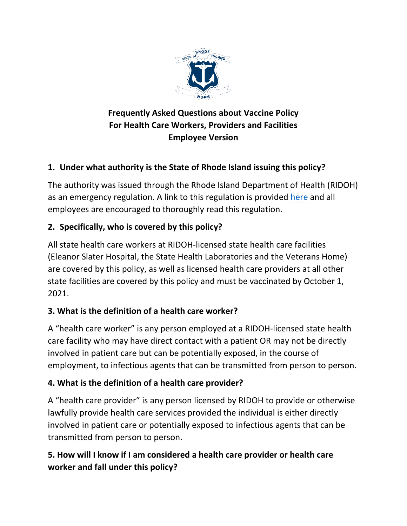

# **Frequently Asked Questions about Vaccine Policy For Health Care Workers, Providers and Facilities Employee Version**

# **1. Under what authority is the State of Rhode Island issuing this policy?**

The authority was issued through the Rhode Island Department of Health (RIDOH) as an emergency regulation. A link to this regulation is provided [here](https://rules.sos.ri.gov/regulations/part/216-20-15-8) and all employees are encouraged to thoroughly read this regulation.

## **2. Specifically, who is covered by this policy?**

All state health care workers at RIDOH-licensed state health care facilities (Eleanor Slater Hospital, the State Health Laboratories and the Veterans Home) are covered by this policy, as well as licensed health care providers at all other state facilities are covered by this policy and must be vaccinated by October 1, 2021.

#### **3. What is the definition of a health care worker?**

A "health care worker" is any person employed at a RIDOH-licensed state health care facility who may have direct contact with a patient OR may not be directly involved in patient care but can be potentially exposed, in the course of employment, to infectious agents that can be transmitted from person to person.

# **4. What is the definition of a health care provider?**

A "health care provider" is any person licensed by RIDOH to provide or otherwise lawfully provide health care services provided the individual is either directly involved in patient care or potentially exposed to infectious agents that can be transmitted from person to person.

# **5. How will I know if I am considered a health care provider or health care worker and fall under this policy?**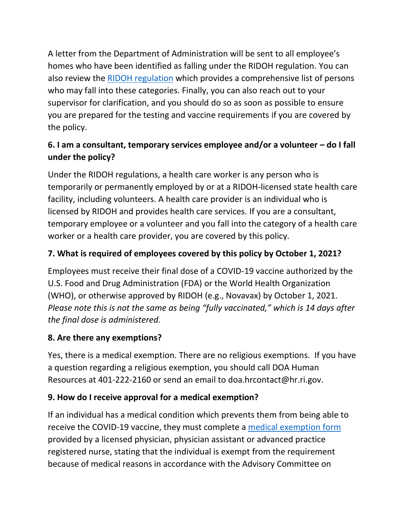A letter from the Department of Administration will be sent to all employee's homes who have been identified as falling under the RIDOH regulation. You can also review the [RIDOH regulation](https://rules.sos.ri.gov/regulations/part/216-20-15-8) which provides a comprehensive list of persons who may fall into these categories. Finally, you can also reach out to your supervisor for clarification, and you should do so as soon as possible to ensure you are prepared for the testing and vaccine requirements if you are covered by the policy.

# **6. I am a consultant, temporary services employee and/or a volunteer – do I fall under the policy?**

Under the RIDOH regulations, a health care worker is any person who is temporarily or permanently employed by or at a RIDOH-licensed state health care facility, including volunteers. A health care provider is an individual who is licensed by RIDOH and provides health care services. If you are a consultant, temporary employee or a volunteer and you fall into the category of a health care worker or a health care provider, you are covered by this policy.

# **7. What is required of employees covered by this policy by October 1, 2021?**

Employees must receive their final dose of a COVID-19 vaccine authorized by the U.S. Food and Drug Administration (FDA) or the World Health Organization (WHO), or otherwise approved by RIDOH (e.g., Novavax) by October 1, 2021. *Please note this is not the same as being "fully vaccinated," which is 14 days after the final dose is administered.*

# **8. Are there any exemptions?**

Yes, there is a medical exemption. There are no religious exemptions. If you have a question regarding a religious exemption, you should call DOA Human Resources at 401-222-2160 or send an email to doa.hrcontact@hr.ri.gov.

# **9. How do I receive approval for a medical exemption?**

If an individual has a medical condition which prevents them from being able to receive the COVID-19 vaccine, they must complete a [medical exemption form](https://health.ri.gov/forms/immunization/Exemption-Certificate-COVID-19-Vaccination.pdf) provided by a licensed physician, physician assistant or advanced practice registered nurse, stating that the individual is exempt from the requirement because of medical reasons in accordance with the Advisory Committee on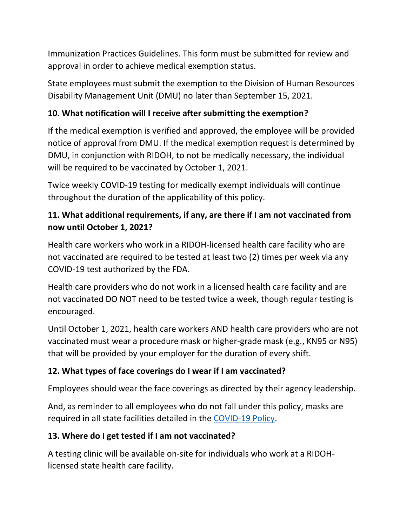Immunization Practices Guidelines. This form must be submitted for review and approval in order to achieve medical exemption status.

State employees must submit the exemption to the Division of Human Resources Disability Management Unit (DMU) no later than September 15, 2021.

#### **10. What notification will I receive after submitting the exemption?**

If the medical exemption is verified and approved, the employee will be provided notice of approval from DMU. If the medical exemption request is determined by DMU, in conjunction with RIDOH, to not be medically necessary, the individual will be required to be vaccinated by October 1, 2021.

Twice weekly COVID-19 testing for medically exempt individuals will continue throughout the duration of the applicability of this policy.

### **11. What additional requirements, if any, are there if I am not vaccinated from now until October 1, 2021?**

Health care workers who work in a RIDOH-licensed health care facility who are not vaccinated are required to be tested at least two (2) times per week via any COVID-19 test authorized by the FDA.

Health care providers who do not work in a licensed health care facility and are not vaccinated DO NOT need to be tested twice a week, though regular testing is encouraged.

Until October 1, 2021, health care workers AND health care providers who are not vaccinated must wear a procedure mask or higher-grade mask (e.g., KN95 or N95) that will be provided by your employer for the duration of every shift.

#### **12. What types of face coverings do I wear if I am vaccinated?**

Employees should wear the face coverings as directed by their agency leadership.

And, as reminder to all employees who do not fall under this policy, masks are required in all state facilities detailed in the [COVID-19 Policy.](https://rigov-policies.s3.amazonaws.com/COVID-19_Policy_UPDATED.pdf)

#### **13. Where do I get tested if I am not vaccinated?**

A testing clinic will be available on-site for individuals who work at a RIDOHlicensed state health care facility.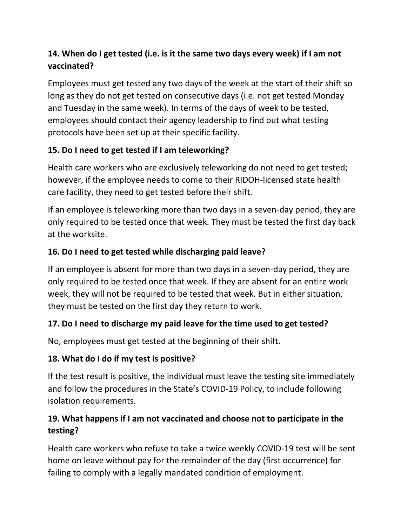# **14. When do I get tested (i.e. is it the same two days every week) if I am not vaccinated?**

Employees must get tested any two days of the week at the start of their shift so long as they do not get tested on consecutive days (i.e. not get tested Monday and Tuesday in the same week). In terms of the days of week to be tested, employees should contact their agency leadership to find out what testing protocols have been set up at their specific facility.

## **15. Do I need to get tested if I am teleworking?**

Health care workers who are exclusively teleworking do not need to get tested; however, if the employee needs to come to their RIDOH-licensed state health care facility, they need to get tested before their shift.

If an employee is teleworking more than two days in a seven-day period, they are only required to be tested once that week. They must be tested the first day back at the worksite.

## **16. Do I need to get tested while discharging paid leave?**

If an employee is absent for more than two days in a seven-day period, they are only required to be tested once that week. If they are absent for an entire work week, they will not be required to be tested that week. But in either situation, they must be tested on the first day they return to work.

#### **17. Do I need to discharge my paid leave for the time used to get tested?**

No, employees must get tested at the beginning of their shift.

#### **18. What do I do if my test is positive?**

If the test result is positive, the individual must leave the testing site immediately and follow the procedures in the State's [COVID-19 Policy,](https://rigov-policies.s3.amazonaws.com/COVID-19_Policy_UPDATED.pdf) to include following isolation requirements.

## **19. What happens if I am not vaccinated and choose not to participate in the testing?**

Health care workers who refuse to take a twice weekly COVID-19 test will be sent home on leave without pay for the remainder of the day (first occurrence) for failing to comply with a legally mandated condition of employment.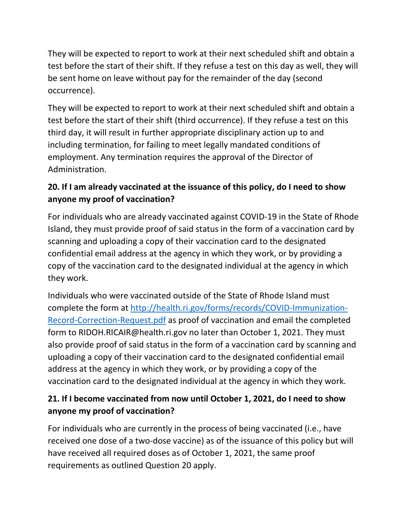They will be expected to report to work at their next scheduled shift and obtain a test before the start of their shift. If they refuse a test on this day as well, they will be sent home on leave without pay for the remainder of the day (second occurrence).

They will be expected to report to work at their next scheduled shift and obtain a test before the start of their shift (third occurrence). If they refuse a test on this third day, it will result in further appropriate disciplinary action up to and including termination, for failing to meet legally mandated conditions of employment. Any termination requires the approval of the Director of Administration.

## **20. If I am already vaccinated at the issuance of this policy, do I need to show anyone my proof of vaccination?**

For individuals who are already vaccinated against COVID-19 in the State of Rhode Island, they must provide proof of said status in the form of a vaccination card by scanning and uploading a copy of their vaccination card to the designated confidential email address at the agency in which they work, or by providing a copy of the vaccination card to the designated individual at the agency in which they work.

Individuals who were vaccinated outside of the State of Rhode Island must complete the form at [http://health.ri.gov/forms/records/COVID-Immunization-](http://health.ri.gov/forms/records/COVID-Immunization-Record-Correction-Request.pdf)[Record-Correction-Request.pdf](http://health.ri.gov/forms/records/COVID-Immunization-Record-Correction-Request.pdf) as proof of vaccination and email the completed form to RIDOH.RICAIR@health.ri.gov no later than October 1, 2021. They must also provide proof of said status in the form of a vaccination card by scanning and uploading a copy of their vaccination card to the designated confidential email address at the agency in which they work, or by providing a copy of the vaccination card to the designated individual at the agency in which they work.

## **21. If I become vaccinated from now until October 1, 2021, do I need to show anyone my proof of vaccination?**

For individuals who are currently in the process of being vaccinated (i.e., have received one dose of a two-dose vaccine) as of the issuance of this policy but will have received all required doses as of October 1, 2021, the same proof requirements as outlined Question 20 apply.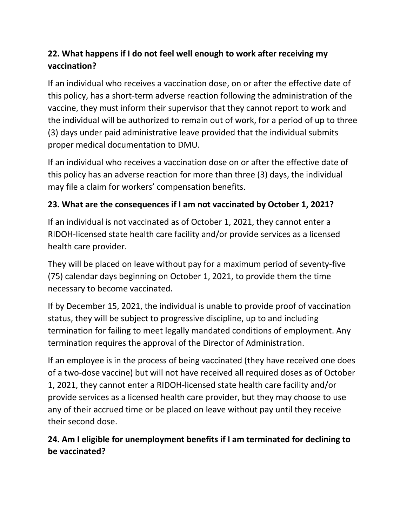# **22. What happens if I do not feel well enough to work after receiving my vaccination?**

If an individual who receives a vaccination dose, on or after the effective date of this policy, has a short-term adverse reaction following the administration of the vaccine, they must inform their supervisor that they cannot report to work and the individual will be authorized to remain out of work, for a period of up to three (3) days under paid administrative leave provided that the individual submits proper medical documentation to DMU.

If an individual who receives a vaccination dose on or after the effective date of this policy has an adverse reaction for more than three (3) days, the individual may file a claim for workers' compensation benefits.

## **23. What are the consequences if I am not vaccinated by October 1, 2021?**

If an individual is not vaccinated as of October 1, 2021, they cannot enter a RIDOH-licensed state health care facility and/or provide services as a licensed health care provider.

They will be placed on leave without pay for a maximum period of seventy-five (75) calendar days beginning on October 1, 2021, to provide them the time necessary to become vaccinated.

If by December 15, 2021, the individual is unable to provide proof of vaccination status, they will be subject to progressive discipline, up to and including termination for failing to meet legally mandated conditions of employment. Any termination requires the approval of the Director of Administration.

If an employee is in the process of being vaccinated (they have received one does of a two-dose vaccine) but will not have received all required doses as of October 1, 2021, they cannot enter a RIDOH-licensed state health care facility and/or provide services as a licensed health care provider, but they may choose to use any of their accrued time or be placed on leave without pay until they receive their second dose.

## **24. Am I eligible for unemployment benefits if I am terminated for declining to be vaccinated?**